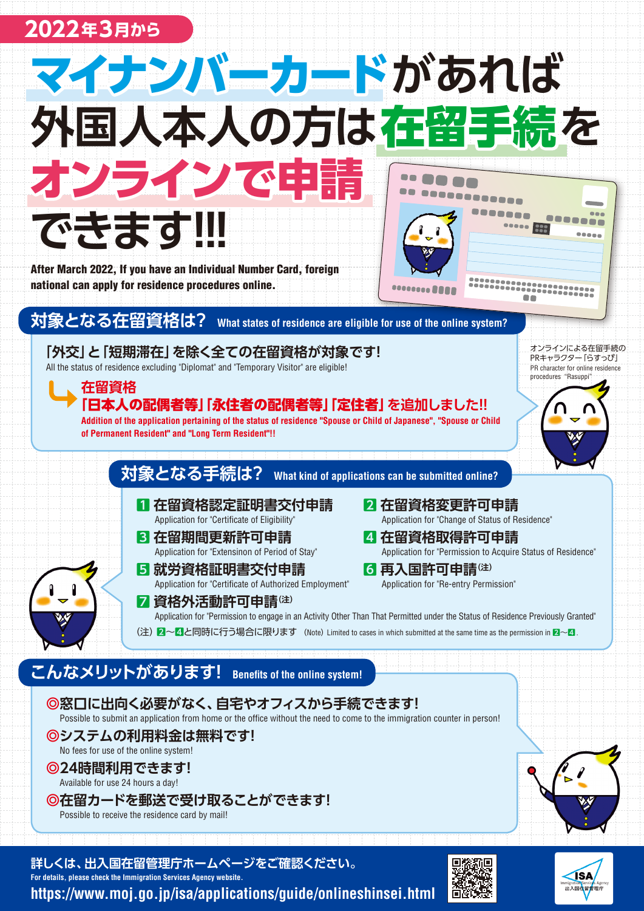## 2022年3月から



**詳しくは、出入国在留管理庁ホームページをご確認ください。 For details, please check the Immigration Services Agency website.** https://www.moj.go.ip/isa/applications/guide/onlineshinsei.html